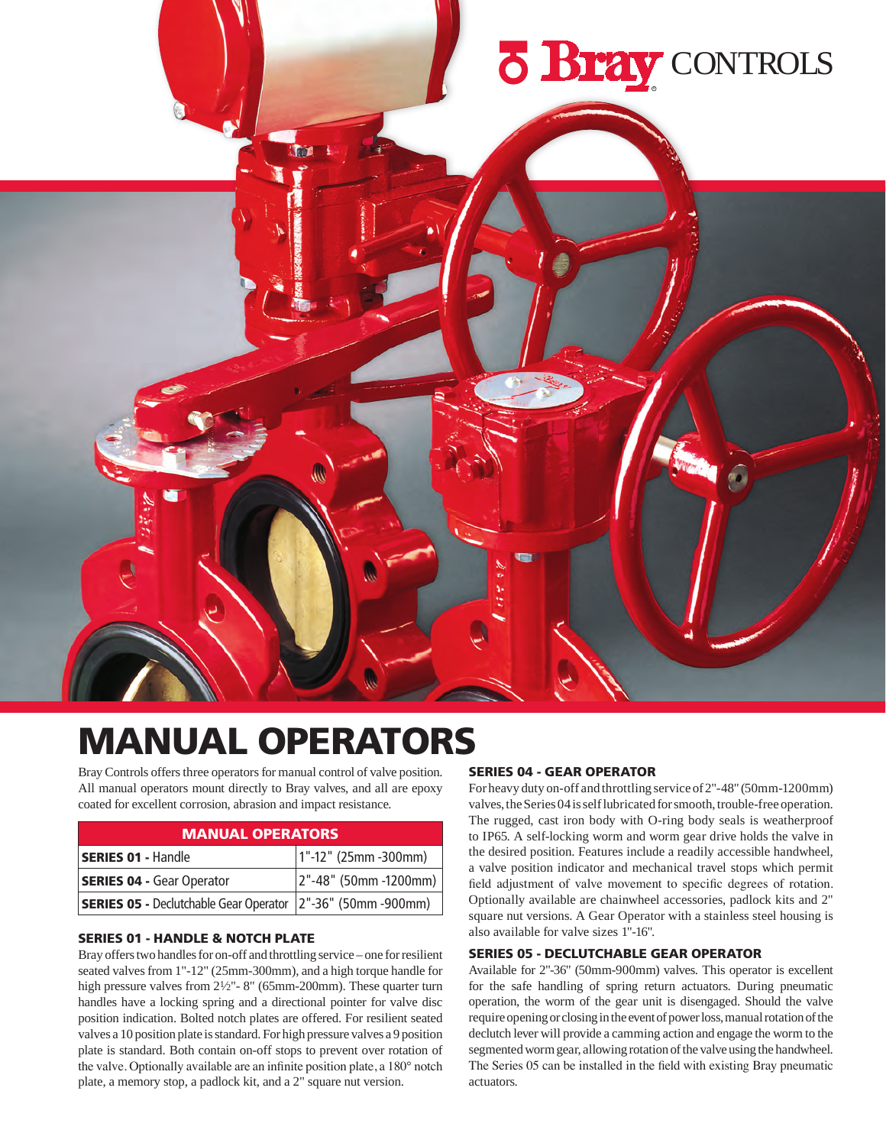

# MANUAL OPERATORS

Bray Controls offers three operators for manual control of valve position. All manual operators mount directly to Bray valves, and all are epoxy coated for excellent corrosion, abrasion and impact resistance.

#### MANUAL OPERATORS

| <b>SERIES 01 - Handle</b>                                   | $1" - 12"$ (25mm -300mm) |
|-------------------------------------------------------------|--------------------------|
| <b>SERIES 04 - Gear Operator</b>                            | 2"-48" (50mm -1200mm)    |
| SERIES 05 - Declutchable Gear Operator 2"-36" (50mm -900mm) |                          |

#### SERIES 01 - HANDLE & NOTCH PLATE

Bray offers two handles for on-off and throttling service – one for resilient seated valves from 1"-12" (25mm-300mm), and a high torque handle for high pressure valves from  $2\frac{1}{2}$ "-8" (65mm-200mm). These quarter turn handles have a locking spring and a directional pointer for valve disc position indication. Bolted notch plates are offered. For resilient seated valves a 10 position plate is standard. For high pressure valves a 9 position plate is standard. Both contain on-off stops to prevent over rotation of the valve. Optionally available are an infinite position plate, a 180° notch plate, a memory stop, a padlock kit, and a 2" square nut version.

#### SERIES 04 - GEAR OPERATOR

For heavy duty on-off and throttling service of 2"-48" (50mm-1200mm) valves, the Series 04 is self lubricated for smooth, trouble-free operation. The rugged, cast iron body with O-ring body seals is weatherproof to IP65. A self-locking worm and worm gear drive holds the valve in the desired position. Features include a readily accessible handwheel, a valve position indicator and mechanical travel stops which permit field adjustment of valve movement to specific degrees of rotation. Optionally available are chainwheel accessories, padlock kits and 2" square nut versions. A Gear Operator with a stainless steel housing is also available for valve sizes 1"-16".

#### SERIES 05 - DECLUTCHABLE GEAR OPERATOR

Available for 2"-36" (50mm-900mm) valves. This operator is excellent for the safe handling of spring return actuators. During pneumatic operation, the worm of the gear unit is disengaged. Should the valve require opening or closing in the event of power loss, manual rotation of the declutch lever will provide a camming action and engage the worm to the segmented worm gear, allowing rotation of the valve using the handwheel. The Series 05 can be installed in the field with existing Bray pneumatic actuators.